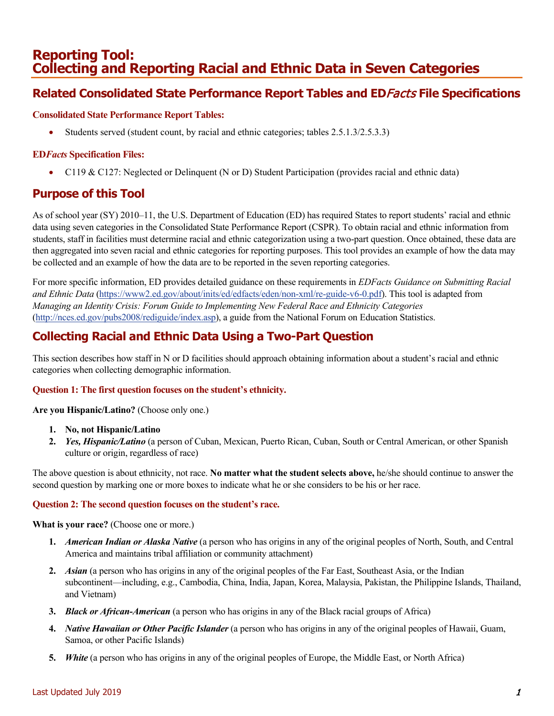# **Reporting Tool: Collecting and Reporting Racial and Ethnic Data in Seven Categories**

## **Related Consolidated State Performance Report Tables and ED**Facts **File Specifications**

### **Consolidated State Performance Report Tables:**

• Students served (student count, by racial and ethnic categories; tables 2.5.1.3/2.5.3.3)

### **ED***Facts* **Specification Files:**

• C119 & C127: Neglected or Delinquent (N or D) Student Participation (provides racial and ethnic data)

## **Purpose of this Tool**

As of school year (SY) 2010–11, the U.S. Department of Education (ED) has required States to report students' racial and ethnic data using seven categories in the Consolidated State Performance Report (CSPR). To obtain racial and ethnic information from students, staff in facilities must determine racial and ethnic categorization using a two-part question. Once obtained, these data are then aggregated into seven racial and ethnic categories for reporting purposes. This tool provides an example of how the data may be collected and an example of how the data are to be reported in the seven reporting categories.

For more specific information, ED provides detailed guidance on these requirements in *EDFacts Guidance on Submitting Racial and Ethnic Data* [\(https://www2.ed.gov/about/inits/ed/edfacts/eden/non-xml/re-guide-v6-0.pdf\)](https://www2.ed.gov/about/inits/ed/edfacts/eden/non-xml/re-guide-v6-0.pdf). This tool is adapted from *Managing an Identity Crisis: Forum Guide to Implementing New Federal Race and Ethnicity Categories* [\(http://nces.ed.gov/pubs2008/rediguide/index.asp\)](http://nces.ed.gov/pubs2008/rediguide/index.asp), a guide from the National Forum on Education Statistics.

## **Collecting Racial and Ethnic Data Using a Two-Part Question**

This section describes how staff in N or D facilities should approach obtaining information about a student's racial and ethnic categories when collecting demographic information.

#### **Question 1: The first question focuses on the student's ethnicity.**

**Are you Hispanic/Latino?** (Choose only one.)

- **1. No, not Hispanic/Latino**
- **2.** *Yes, Hispanic/Latino* (a person of Cuban, Mexican, Puerto Rican, Cuban, South or Central American, or other Spanish culture or origin, regardless of race)

The above question is about ethnicity, not race. **No matter what the student selects above,** he/she should continue to answer the second question by marking one or more boxes to indicate what he or she considers to be his or her race.

#### **Question 2: The second question focuses on the student's race.**

**What is your race?** (Choose one or more.)

- **1.** *American Indian or Alaska Native* (a person who has origins in any of the original peoples of North, South, and Central America and maintains tribal affiliation or community attachment)
- **2.** *Asian* (a person who has origins in any of the original peoples of the Far East, Southeast Asia, or the Indian subcontinent—including, e.g., Cambodia, China, India, Japan, Korea, Malaysia, Pakistan, the Philippine Islands, Thailand, and Vietnam)
- **3.** *Black or African-American* (a person who has origins in any of the Black racial groups of Africa)
- **4.** *Native Hawaiian or Other Pacific Islander* (a person who has origins in any of the original peoples of Hawaii, Guam, Samoa, or other Pacific Islands)
- **5.** *White* (a person who has origins in any of the original peoples of Europe, the Middle East, or North Africa)